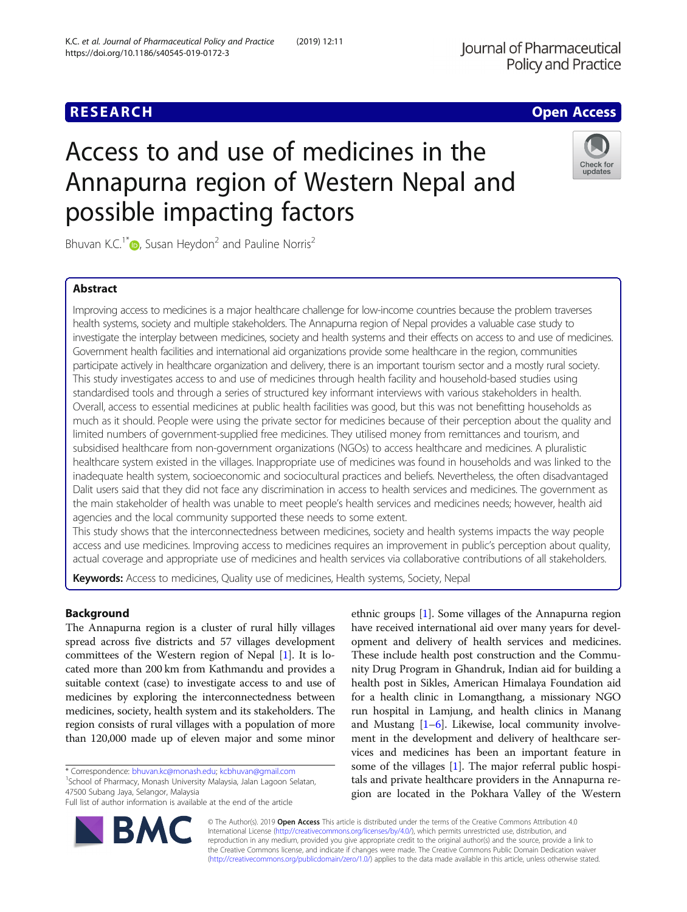# **RESEARCH CHE Open Access**

# Access to and use of medicines in the Annapurna region of Western Nepal and possible impacting factors

Bhuvan K.C.<sup>1[\\*](http://orcid.org/0000-0002-9135-962X)</sup> $\bullet$ , Susan Heydon<sup>2</sup> and Pauline Norris<sup>2</sup>

# Abstract

Improving access to medicines is a major healthcare challenge for low-income countries because the problem traverses health systems, society and multiple stakeholders. The Annapurna region of Nepal provides a valuable case study to investigate the interplay between medicines, society and health systems and their effects on access to and use of medicines. Government health facilities and international aid organizations provide some healthcare in the region, communities participate actively in healthcare organization and delivery, there is an important tourism sector and a mostly rural society. This study investigates access to and use of medicines through health facility and household-based studies using standardised tools and through a series of structured key informant interviews with various stakeholders in health. Overall, access to essential medicines at public health facilities was good, but this was not benefitting households as much as it should. People were using the private sector for medicines because of their perception about the quality and limited numbers of government-supplied free medicines. They utilised money from remittances and tourism, and subsidised healthcare from non-government organizations (NGOs) to access healthcare and medicines. A pluralistic healthcare system existed in the villages. Inappropriate use of medicines was found in households and was linked to the inadequate health system, socioeconomic and sociocultural practices and beliefs. Nevertheless, the often disadvantaged Dalit users said that they did not face any discrimination in access to health services and medicines. The government as the main stakeholder of health was unable to meet people's health services and medicines needs; however, health aid agencies and the local community supported these needs to some extent.

This study shows that the interconnectedness between medicines, society and health systems impacts the way people access and use medicines. Improving access to medicines requires an improvement in public's perception about quality, actual coverage and appropriate use of medicines and health services via collaborative contributions of all stakeholders.

Keywords: Access to medicines, Quality use of medicines, Health systems, Society, Nepal

# Background

The Annapurna region is a cluster of rural hilly villages spread across five districts and 57 villages development committees of the Western region of Nepal [\[1](#page-10-0)]. It is located more than 200 km from Kathmandu and provides a suitable context (case) to investigate access to and use of medicines by exploring the interconnectedness between medicines, society, health system and its stakeholders. The region consists of rural villages with a population of more than 120,000 made up of eleven major and some minor

\* Correspondence: [bhuvan.kc@monash.edu](mailto:bhuvan.kc@monash.edu); [kcbhuvan@gmail.com](mailto:kcbhuvan@gmail.com) <sup>1</sup>

<sup>1</sup>School of Pharmacy, Monash University Malaysia, Jalan Lagoon Selatan, 47500 Subang Jaya, Selangor, Malaysia

ethnic groups [\[1](#page-10-0)]. Some villages of the Annapurna region have received international aid over many years for development and delivery of health services and medicines. These include health post construction and the Community Drug Program in Ghandruk, Indian aid for building a health post in Sikles, American Himalaya Foundation aid for a health clinic in Lomangthang, a missionary NGO run hospital in Lamjung, and health clinics in Manang and Mustang [\[1](#page-10-0)–[6](#page-10-0)]. Likewise, local community involvement in the development and delivery of healthcare services and medicines has been an important feature in some of the villages [[1](#page-10-0)]. The major referral public hospitals and private healthcare providers in the Annapurna region are located in the Pokhara Valley of the Western

© The Author(s). 2019 Open Access This article is distributed under the terms of the Creative Commons Attribution 4.0 International License [\(http://creativecommons.org/licenses/by/4.0/](http://creativecommons.org/licenses/by/4.0/)), which permits unrestricted use, distribution, and reproduction in any medium, provided you give appropriate credit to the original author(s) and the source, provide a link to the Creative Commons license, and indicate if changes were made. The Creative Commons Public Domain Dedication waiver [\(http://creativecommons.org/publicdomain/zero/1.0/](http://creativecommons.org/publicdomain/zero/1.0/)) applies to the data made available in this article, unless otherwise stated.





Full list of author information is available at the end of the article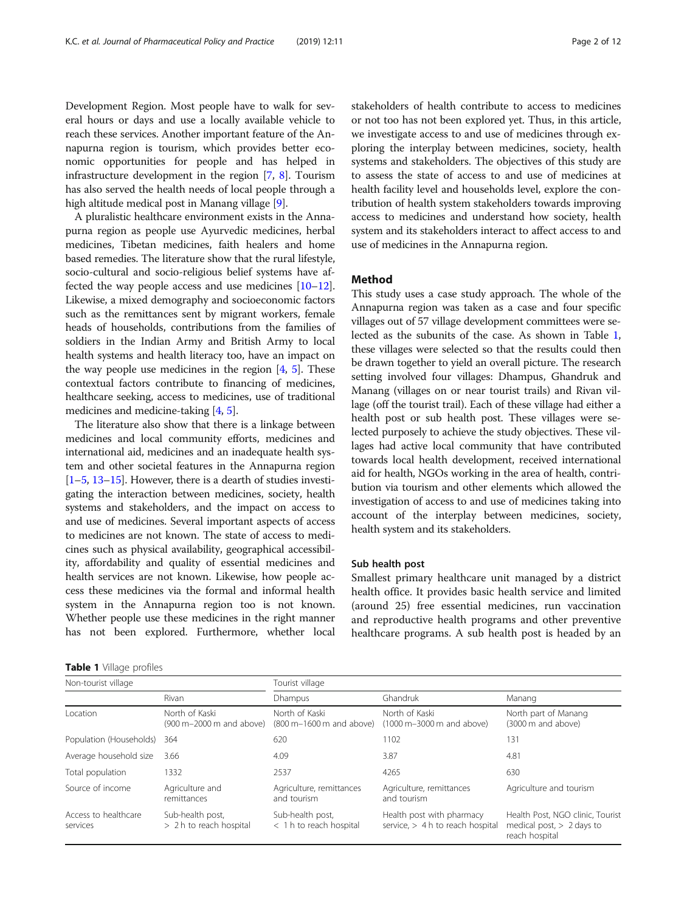Development Region. Most people have to walk for several hours or days and use a locally available vehicle to reach these services. Another important feature of the Annapurna region is tourism, which provides better economic opportunities for people and has helped in infrastructure development in the region [\[7](#page-10-0), [8\]](#page-10-0). Tourism has also served the health needs of local people through a high altitude medical post in Manang village [[9\]](#page-10-0).

A pluralistic healthcare environment exists in the Annapurna region as people use Ayurvedic medicines, herbal medicines, Tibetan medicines, faith healers and home based remedies. The literature show that the rural lifestyle, socio-cultural and socio-religious belief systems have affected the way people access and use medicines [\[10](#page-10-0)–[12](#page-10-0)]. Likewise, a mixed demography and socioeconomic factors such as the remittances sent by migrant workers, female heads of households, contributions from the families of soldiers in the Indian Army and British Army to local health systems and health literacy too, have an impact on the way people use medicines in the region  $[4, 5]$  $[4, 5]$  $[4, 5]$ . These contextual factors contribute to financing of medicines, healthcare seeking, access to medicines, use of traditional medicines and medicine-taking [\[4,](#page-10-0) [5](#page-10-0)].

The literature also show that there is a linkage between medicines and local community efforts, medicines and international aid, medicines and an inadequate health system and other societal features in the Annapurna region [[1](#page-10-0)–[5](#page-10-0), [13](#page-10-0)–[15](#page-10-0)]. However, there is a dearth of studies investigating the interaction between medicines, society, health systems and stakeholders, and the impact on access to and use of medicines. Several important aspects of access to medicines are not known. The state of access to medicines such as physical availability, geographical accessibility, affordability and quality of essential medicines and health services are not known. Likewise, how people access these medicines via the formal and informal health system in the Annapurna region too is not known. Whether people use these medicines in the right manner has not been explored. Furthermore, whether local stakeholders of health contribute to access to medicines or not too has not been explored yet. Thus, in this article, we investigate access to and use of medicines through exploring the interplay between medicines, society, health systems and stakeholders. The objectives of this study are to assess the state of access to and use of medicines at health facility level and households level, explore the contribution of health system stakeholders towards improving access to medicines and understand how society, health system and its stakeholders interact to affect access to and use of medicines in the Annapurna region.

# Method

This study uses a case study approach. The whole of the Annapurna region was taken as a case and four specific villages out of 57 village development committees were selected as the subunits of the case. As shown in Table 1, these villages were selected so that the results could then be drawn together to yield an overall picture. The research setting involved four villages: Dhampus, Ghandruk and Manang (villages on or near tourist trails) and Rivan village (off the tourist trail). Each of these village had either a health post or sub health post. These villages were selected purposely to achieve the study objectives. These villages had active local community that have contributed towards local health development, received international aid for health, NGOs working in the area of health, contribution via tourism and other elements which allowed the investigation of access to and use of medicines taking into account of the interplay between medicines, society, health system and its stakeholders.

#### Sub health post

Smallest primary healthcare unit managed by a district health office. It provides basic health service and limited (around 25) free essential medicines, run vaccination and reproductive health programs and other preventive healthcare programs. A sub health post is headed by an

| Table 1 Village profiles |  |  |
|--------------------------|--|--|
|--------------------------|--|--|

| Non-tourist village              |                                             | Tourist village                               |                                                                 |                                                                                   |
|----------------------------------|---------------------------------------------|-----------------------------------------------|-----------------------------------------------------------------|-----------------------------------------------------------------------------------|
|                                  | Rivan                                       | <b>Dhampus</b>                                | Ghandruk                                                        | Manang                                                                            |
| Location                         | North of Kaski<br>(900 m-2000 m and above)  | North of Kaski<br>(800 m-1600 m and above)    | North of Kaski<br>(1000 m-3000 m and above)                     | North part of Manang<br>(3000 m and above)                                        |
| Population (Households)          | 364                                         | 620                                           | 1102                                                            | 131                                                                               |
| Average household size           | 3.66                                        | 4.09                                          | 3.87                                                            | 4.81                                                                              |
| Total population                 | 1332                                        | 2537                                          | 4265                                                            | 630                                                                               |
| Source of income                 | Agriculture and<br>remittances              | Agriculture, remittances<br>and tourism       | Agriculture, remittances<br>and tourism                         | Agriculture and tourism                                                           |
| Access to healthcare<br>services | Sub-health post,<br>> 2 h to reach hospital | Sub-health post,<br>$<$ 1 h to reach hospital | Health post with pharmacy<br>service, $>$ 4 h to reach hospital | Health Post, NGO clinic, Tourist<br>medical post, $> 2$ days to<br>reach hospital |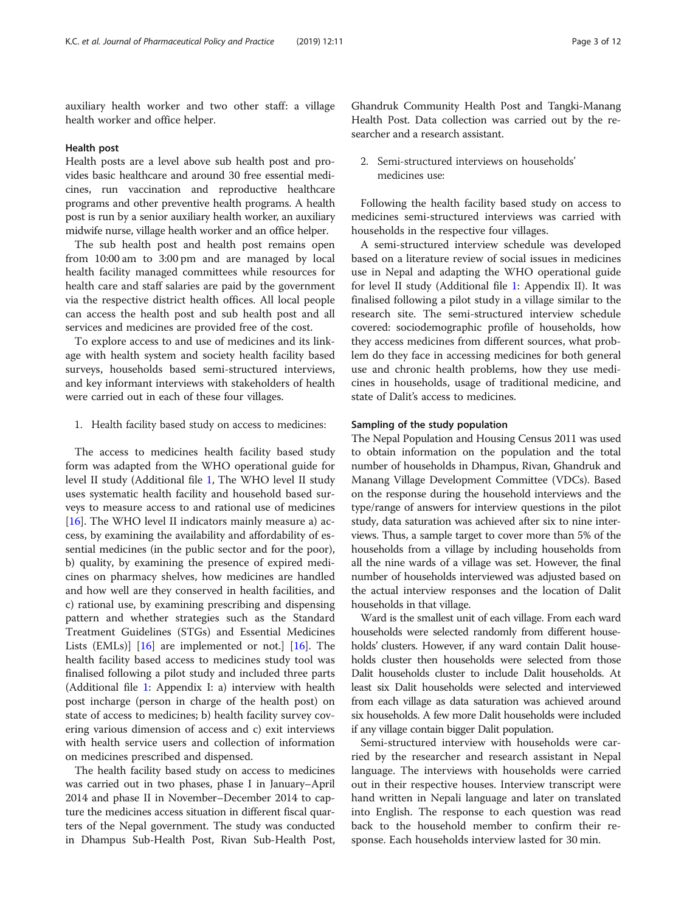auxiliary health worker and two other staff: a village health worker and office helper.

#### Health post

Health posts are a level above sub health post and provides basic healthcare and around 30 free essential medicines, run vaccination and reproductive healthcare programs and other preventive health programs. A health post is run by a senior auxiliary health worker, an auxiliary midwife nurse, village health worker and an office helper.

The sub health post and health post remains open from 10:00 am to 3:00 pm and are managed by local health facility managed committees while resources for health care and staff salaries are paid by the government via the respective district health offices. All local people can access the health post and sub health post and all services and medicines are provided free of the cost.

To explore access to and use of medicines and its linkage with health system and society health facility based surveys, households based semi-structured interviews, and key informant interviews with stakeholders of health were carried out in each of these four villages.

1. Health facility based study on access to medicines:

The access to medicines health facility based study form was adapted from the WHO operational guide for level II study (Additional file [1,](#page-9-0) The WHO level II study uses systematic health facility and household based surveys to measure access to and rational use of medicines [[16\]](#page-10-0). The WHO level II indicators mainly measure a) access, by examining the availability and affordability of essential medicines (in the public sector and for the poor), b) quality, by examining the presence of expired medicines on pharmacy shelves, how medicines are handled and how well are they conserved in health facilities, and c) rational use, by examining prescribing and dispensing pattern and whether strategies such as the Standard Treatment Guidelines (STGs) and Essential Medicines Lists (EMLs)] [[16](#page-10-0)] are implemented or not.] [[16](#page-10-0)]. The health facility based access to medicines study tool was finalised following a pilot study and included three parts (Additional file [1:](#page-9-0) Appendix I: a) interview with health post incharge (person in charge of the health post) on state of access to medicines; b) health facility survey covering various dimension of access and c) exit interviews with health service users and collection of information on medicines prescribed and dispensed.

The health facility based study on access to medicines was carried out in two phases, phase I in January–April 2014 and phase II in November–December 2014 to capture the medicines access situation in different fiscal quarters of the Nepal government. The study was conducted in Dhampus Sub-Health Post, Rivan Sub-Health Post,

Ghandruk Community Health Post and Tangki-Manang Health Post. Data collection was carried out by the researcher and a research assistant.

2. Semi-structured interviews on households' medicines use:

Following the health facility based study on access to medicines semi-structured interviews was carried with households in the respective four villages.

A semi-structured interview schedule was developed based on a literature review of social issues in medicines use in Nepal and adapting the WHO operational guide for level II study (Additional file [1:](#page-9-0) Appendix II). It was finalised following a pilot study in a village similar to the research site. The semi-structured interview schedule covered: sociodemographic profile of households, how they access medicines from different sources, what problem do they face in accessing medicines for both general use and chronic health problems, how they use medicines in households, usage of traditional medicine, and state of Dalit's access to medicines.

#### Sampling of the study population

The Nepal Population and Housing Census 2011 was used to obtain information on the population and the total number of households in Dhampus, Rivan, Ghandruk and Manang Village Development Committee (VDCs). Based on the response during the household interviews and the type/range of answers for interview questions in the pilot study, data saturation was achieved after six to nine interviews. Thus, a sample target to cover more than 5% of the households from a village by including households from all the nine wards of a village was set. However, the final number of households interviewed was adjusted based on the actual interview responses and the location of Dalit households in that village.

Ward is the smallest unit of each village. From each ward households were selected randomly from different households' clusters. However, if any ward contain Dalit households cluster then households were selected from those Dalit households cluster to include Dalit households. At least six Dalit households were selected and interviewed from each village as data saturation was achieved around six households. A few more Dalit households were included if any village contain bigger Dalit population.

Semi-structured interview with households were carried by the researcher and research assistant in Nepal language. The interviews with households were carried out in their respective houses. Interview transcript were hand written in Nepali language and later on translated into English. The response to each question was read back to the household member to confirm their response. Each households interview lasted for 30 min.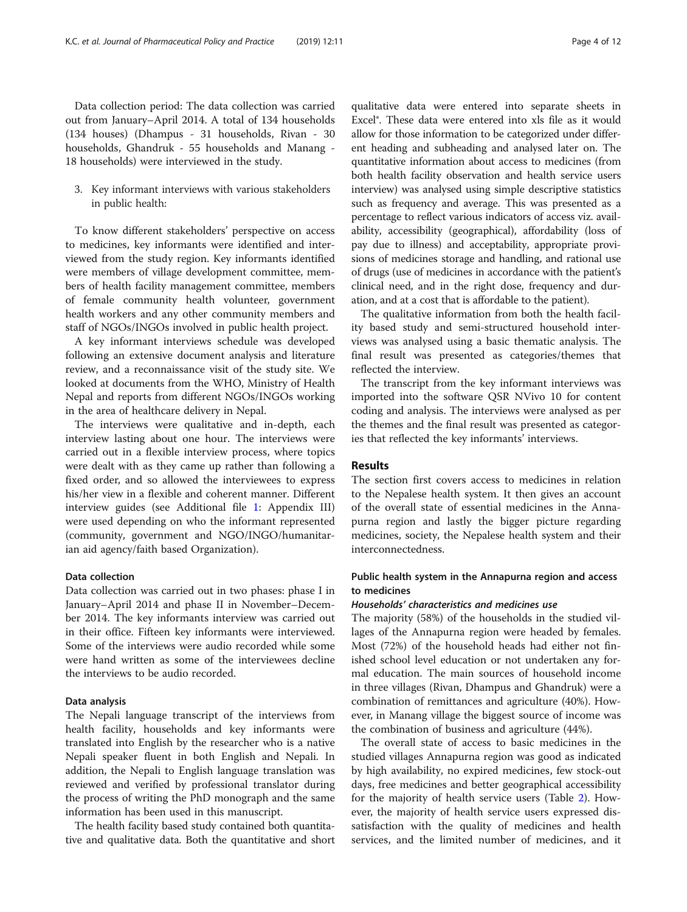Data collection period: The data collection was carried out from January–April 2014. A total of 134 households (134 houses) (Dhampus - 31 households, Rivan - 30 households, Ghandruk - 55 households and Manang - 18 households) were interviewed in the study.

3. Key informant interviews with various stakeholders in public health:

To know different stakeholders' perspective on access to medicines, key informants were identified and interviewed from the study region. Key informants identified were members of village development committee, members of health facility management committee, members of female community health volunteer, government health workers and any other community members and staff of NGOs/INGOs involved in public health project.

A key informant interviews schedule was developed following an extensive document analysis and literature review, and a reconnaissance visit of the study site. We looked at documents from the WHO, Ministry of Health Nepal and reports from different NGOs/INGOs working in the area of healthcare delivery in Nepal.

The interviews were qualitative and in-depth, each interview lasting about one hour. The interviews were carried out in a flexible interview process, where topics were dealt with as they came up rather than following a fixed order, and so allowed the interviewees to express his/her view in a flexible and coherent manner. Different interview guides (see Additional file [1](#page-9-0): Appendix III) were used depending on who the informant represented (community, government and NGO/INGO/humanitarian aid agency/faith based Organization).

#### Data collection

Data collection was carried out in two phases: phase I in January–April 2014 and phase II in November–December 2014. The key informants interview was carried out in their office. Fifteen key informants were interviewed. Some of the interviews were audio recorded while some were hand written as some of the interviewees decline the interviews to be audio recorded.

#### Data analysis

The Nepali language transcript of the interviews from health facility, households and key informants were translated into English by the researcher who is a native Nepali speaker fluent in both English and Nepali. In addition, the Nepali to English language translation was reviewed and verified by professional translator during the process of writing the PhD monograph and the same information has been used in this manuscript.

The health facility based study contained both quantitative and qualitative data. Both the quantitative and short

qualitative data were entered into separate sheets in Excel®. These data were entered into xls file as it would allow for those information to be categorized under different heading and subheading and analysed later on. The quantitative information about access to medicines (from both health facility observation and health service users interview) was analysed using simple descriptive statistics such as frequency and average. This was presented as a percentage to reflect various indicators of access viz. availability, accessibility (geographical), affordability (loss of pay due to illness) and acceptability, appropriate provisions of medicines storage and handling, and rational use of drugs (use of medicines in accordance with the patient's clinical need, and in the right dose, frequency and duration, and at a cost that is affordable to the patient).

The qualitative information from both the health facility based study and semi-structured household interviews was analysed using a basic thematic analysis. The final result was presented as categories/themes that reflected the interview.

The transcript from the key informant interviews was imported into the software QSR NVivo 10 for content coding and analysis. The interviews were analysed as per the themes and the final result was presented as categories that reflected the key informants' interviews.

## Results

The section first covers access to medicines in relation to the Nepalese health system. It then gives an account of the overall state of essential medicines in the Annapurna region and lastly the bigger picture regarding medicines, society, the Nepalese health system and their interconnectedness.

# Public health system in the Annapurna region and access to medicines

#### Households' characteristics and medicines use

The majority (58%) of the households in the studied villages of the Annapurna region were headed by females. Most (72%) of the household heads had either not finished school level education or not undertaken any formal education. The main sources of household income in three villages (Rivan, Dhampus and Ghandruk) were a combination of remittances and agriculture (40%). However, in Manang village the biggest source of income was the combination of business and agriculture (44%).

The overall state of access to basic medicines in the studied villages Annapurna region was good as indicated by high availability, no expired medicines, few stock-out days, free medicines and better geographical accessibility for the majority of health service users (Table [2](#page-4-0)). However, the majority of health service users expressed dissatisfaction with the quality of medicines and health services, and the limited number of medicines, and it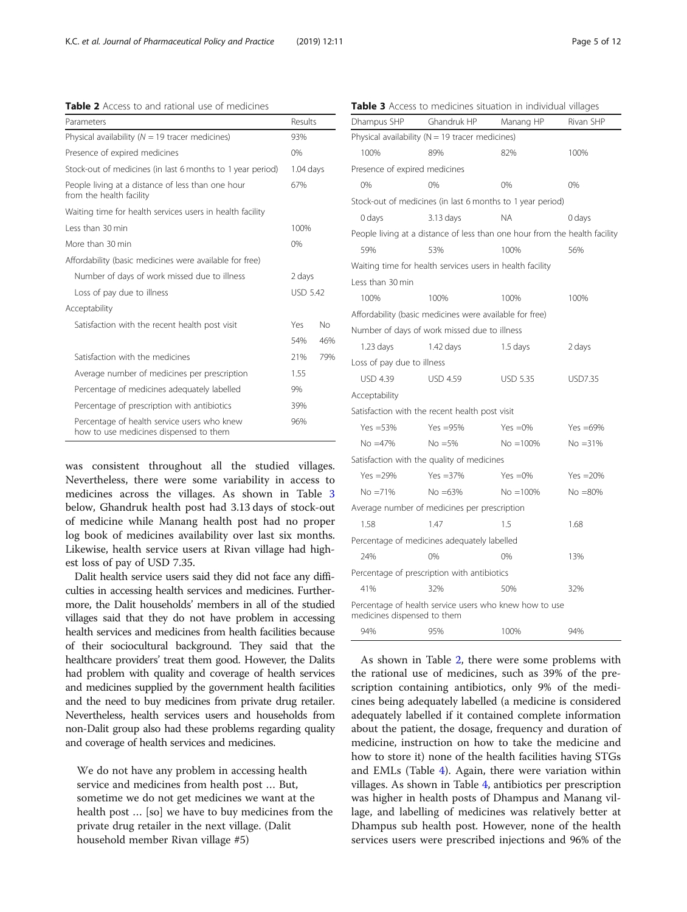<span id="page-4-0"></span>Table 2 Access to and rational use of medicines

| Parameters                                                                            | Results   |                 |  |
|---------------------------------------------------------------------------------------|-----------|-----------------|--|
| Physical availability ( $N = 19$ tracer medicines)                                    | 93%       |                 |  |
| Presence of expired medicines                                                         | 0%        |                 |  |
| Stock-out of medicines (in last 6 months to 1 year period)                            | 1.04 days |                 |  |
| People living at a distance of less than one hour<br>from the health facility         | 67%       |                 |  |
| Waiting time for health services users in health facility                             |           |                 |  |
| Less than 30 min                                                                      | 100%      |                 |  |
| More than 30 min                                                                      | 0%        |                 |  |
| Affordability (basic medicines were available for free)                               |           |                 |  |
| Number of days of work missed due to illness                                          | 2 days    |                 |  |
| Loss of pay due to illness                                                            |           | <b>USD 5.42</b> |  |
| Acceptability                                                                         |           |                 |  |
| Satisfaction with the recent health post visit                                        |           | No.             |  |
|                                                                                       | 54%       | 46%             |  |
| Satisfaction with the medicines                                                       | 21%       | 79%             |  |
| Average number of medicines per prescription                                          | 1.55      |                 |  |
| Percentage of medicines adequately labelled                                           | 9%        |                 |  |
| Percentage of prescription with antibiotics                                           | 39%       |                 |  |
| Percentage of health service users who knew<br>how to use medicines dispensed to them | 96%       |                 |  |

was consistent throughout all the studied villages. Nevertheless, there were some variability in access to medicines across the villages. As shown in Table 3 below, Ghandruk health post had 3.13 days of stock-out of medicine while Manang health post had no proper log book of medicines availability over last six months. Likewise, health service users at Rivan village had highest loss of pay of USD 7.35.

Dalit health service users said they did not face any difficulties in accessing health services and medicines. Furthermore, the Dalit households' members in all of the studied villages said that they do not have problem in accessing health services and medicines from health facilities because of their sociocultural background. They said that the healthcare providers' treat them good. However, the Dalits had problem with quality and coverage of health services and medicines supplied by the government health facilities and the need to buy medicines from private drug retailer. Nevertheless, health services users and households from non-Dalit group also had these problems regarding quality and coverage of health services and medicines.

We do not have any problem in accessing health service and medicines from health post … But, sometime we do not get medicines we want at the health post … [so] we have to buy medicines from the private drug retailer in the next village. (Dalit household member Rivan village #5)

| <b>Table 3</b> Access to medicines situation in individual villages |                                                                            |                 |              |  |
|---------------------------------------------------------------------|----------------------------------------------------------------------------|-----------------|--------------|--|
| Dhampus SHP                                                         | Ghandruk HP                                                                | Manang HP       | Rivan SHP    |  |
| Physical availability ( $N = 19$ tracer medicines)                  |                                                                            |                 |              |  |
| 100%                                                                | 89%                                                                        | 82%             | 100%         |  |
| Presence of expired medicines                                       |                                                                            |                 |              |  |
| 0%                                                                  | 0%                                                                         | 0%              | 0%           |  |
| Stock-out of medicines (in last 6 months to 1 year period)          |                                                                            |                 |              |  |
| 0 days                                                              | 3.13 days                                                                  | NA              | 0 days       |  |
|                                                                     | People living at a distance of less than one hour from the health facility |                 |              |  |
| 59%                                                                 | 53%                                                                        | 100%            | 56%          |  |
|                                                                     | Waiting time for health services users in health facility                  |                 |              |  |
| Less than 30 min                                                    |                                                                            |                 |              |  |
| 100%                                                                | 100%                                                                       | 100%            | 100%         |  |
|                                                                     | Affordability (basic medicines were available for free)                    |                 |              |  |
|                                                                     | Number of days of work missed due to illness                               |                 |              |  |
| $1.23$ days                                                         | 1.42 days                                                                  | 1.5 days        | 2 days       |  |
| Loss of pay due to illness                                          |                                                                            |                 |              |  |
| <b>USD 4.39</b>                                                     | <b>USD 4.59</b>                                                            | <b>USD 5.35</b> | USD7.35      |  |
| Acceptability                                                       |                                                                            |                 |              |  |
|                                                                     | Satisfaction with the recent health post visit                             |                 |              |  |
| Yes $=53%$                                                          | Yes $=95%$                                                                 | Yes $=0%$       | Yes $=69%$   |  |
| $No = 47\%$                                                         | $No = 5\%$                                                                 | $No = 100\%$    | $No = 31%$   |  |
|                                                                     | Satisfaction with the quality of medicines                                 |                 |              |  |
| Yes $=29\%$                                                         | Yes $=37%$                                                                 | Yes $=0\%$      | $Yes = 20\%$ |  |
| $No = 71%$                                                          | $No = 63%$                                                                 | $No = 100\%$    | $No = 80%$   |  |
| Average number of medicines per prescription                        |                                                                            |                 |              |  |
| 1.58                                                                | 1.47                                                                       | 1.5             | 1.68         |  |
|                                                                     | Percentage of medicines adequately labelled                                |                 |              |  |
| 24%                                                                 | 0%                                                                         | 0%              | 13%          |  |
|                                                                     | Percentage of prescription with antibiotics                                |                 |              |  |
| 41%                                                                 | 32%                                                                        | 50%             | 32%          |  |
| medicines dispensed to them                                         | Percentage of health service users who knew how to use                     |                 |              |  |

As shown in Table 2, there were some problems with the rational use of medicines, such as 39% of the prescription containing antibiotics, only 9% of the medicines being adequately labelled (a medicine is considered adequately labelled if it contained complete information about the patient, the dosage, frequency and duration of medicine, instruction on how to take the medicine and how to store it) none of the health facilities having STGs and EMLs (Table [4\)](#page-5-0). Again, there were variation within villages. As shown in Table [4](#page-5-0), antibiotics per prescription was higher in health posts of Dhampus and Manang village, and labelling of medicines was relatively better at Dhampus sub health post. However, none of the health services users were prescribed injections and 96% of the

94% 95% 100% 94%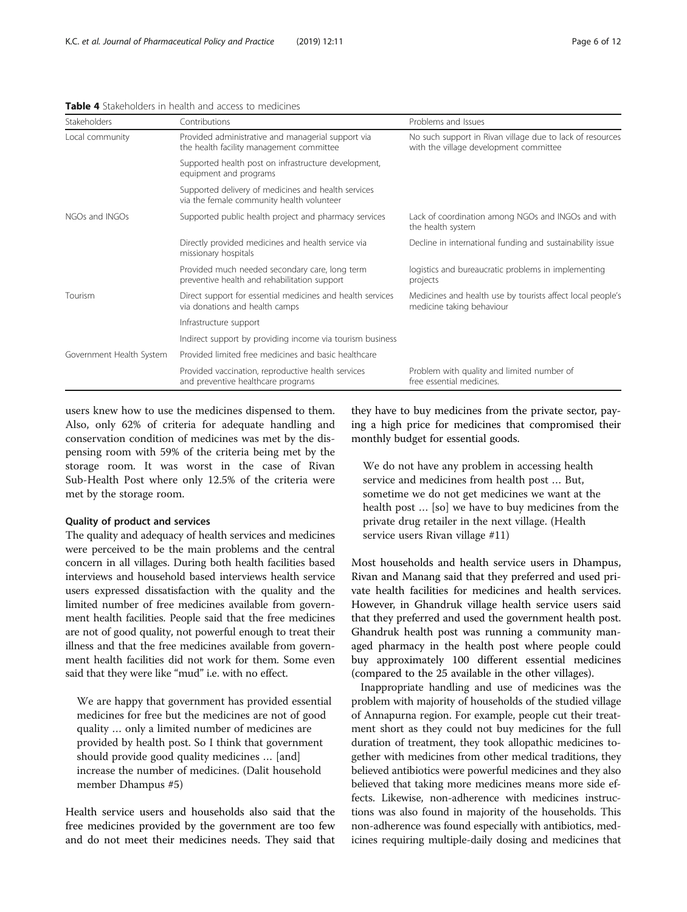| Stakeholders             | Contributions                                                                                    | Problems and Issues                                                                                 |  |
|--------------------------|--------------------------------------------------------------------------------------------------|-----------------------------------------------------------------------------------------------------|--|
| Local community          | Provided administrative and managerial support via<br>the health facility management committee   | No such support in Rivan village due to lack of resources<br>with the village development committee |  |
|                          | Supported health post on infrastructure development,<br>equipment and programs                   |                                                                                                     |  |
|                          | Supported delivery of medicines and health services<br>via the female community health volunteer |                                                                                                     |  |
| NGOs and INGOs           | Supported public health project and pharmacy services                                            | Lack of coordination among NGOs and INGOs and with<br>the health system                             |  |
|                          | Directly provided medicines and health service via<br>missionary hospitals                       | Decline in international funding and sustainability issue                                           |  |
|                          | Provided much needed secondary care, long term<br>preventive health and rehabilitation support   | logistics and bureaucratic problems in implementing<br>projects                                     |  |
| Tourism                  | Direct support for essential medicines and health services<br>via donations and health camps     | Medicines and health use by tourists affect local people's<br>medicine taking behaviour             |  |
|                          | Infrastructure support                                                                           |                                                                                                     |  |
|                          | Indirect support by providing income via tourism business                                        |                                                                                                     |  |
| Government Health System | Provided limited free medicines and basic healthcare                                             |                                                                                                     |  |
|                          | Provided vaccination, reproductive health services<br>and preventive healthcare programs         | Problem with quality and limited number of<br>free essential medicines.                             |  |

<span id="page-5-0"></span>Table 4 Stakeholders in health and access to medicines

users knew how to use the medicines dispensed to them. Also, only 62% of criteria for adequate handling and conservation condition of medicines was met by the dispensing room with 59% of the criteria being met by the storage room. It was worst in the case of Rivan Sub-Health Post where only 12.5% of the criteria were met by the storage room.

#### Quality of product and services

The quality and adequacy of health services and medicines were perceived to be the main problems and the central concern in all villages. During both health facilities based interviews and household based interviews health service users expressed dissatisfaction with the quality and the limited number of free medicines available from government health facilities. People said that the free medicines are not of good quality, not powerful enough to treat their illness and that the free medicines available from government health facilities did not work for them. Some even said that they were like "mud" i.e. with no effect.

We are happy that government has provided essential medicines for free but the medicines are not of good quality … only a limited number of medicines are provided by health post. So I think that government should provide good quality medicines … [and] increase the number of medicines. (Dalit household member Dhampus #5)

Health service users and households also said that the free medicines provided by the government are too few and do not meet their medicines needs. They said that

they have to buy medicines from the private sector, paying a high price for medicines that compromised their monthly budget for essential goods.

We do not have any problem in accessing health service and medicines from health post … But, sometime we do not get medicines we want at the health post … [so] we have to buy medicines from the private drug retailer in the next village. (Health service users Rivan village #11)

Most households and health service users in Dhampus, Rivan and Manang said that they preferred and used private health facilities for medicines and health services. However, in Ghandruk village health service users said that they preferred and used the government health post. Ghandruk health post was running a community managed pharmacy in the health post where people could buy approximately 100 different essential medicines (compared to the 25 available in the other villages).

Inappropriate handling and use of medicines was the problem with majority of households of the studied village of Annapurna region. For example, people cut their treatment short as they could not buy medicines for the full duration of treatment, they took allopathic medicines together with medicines from other medical traditions, they believed antibiotics were powerful medicines and they also believed that taking more medicines means more side effects. Likewise, non-adherence with medicines instructions was also found in majority of the households. This non-adherence was found especially with antibiotics, medicines requiring multiple-daily dosing and medicines that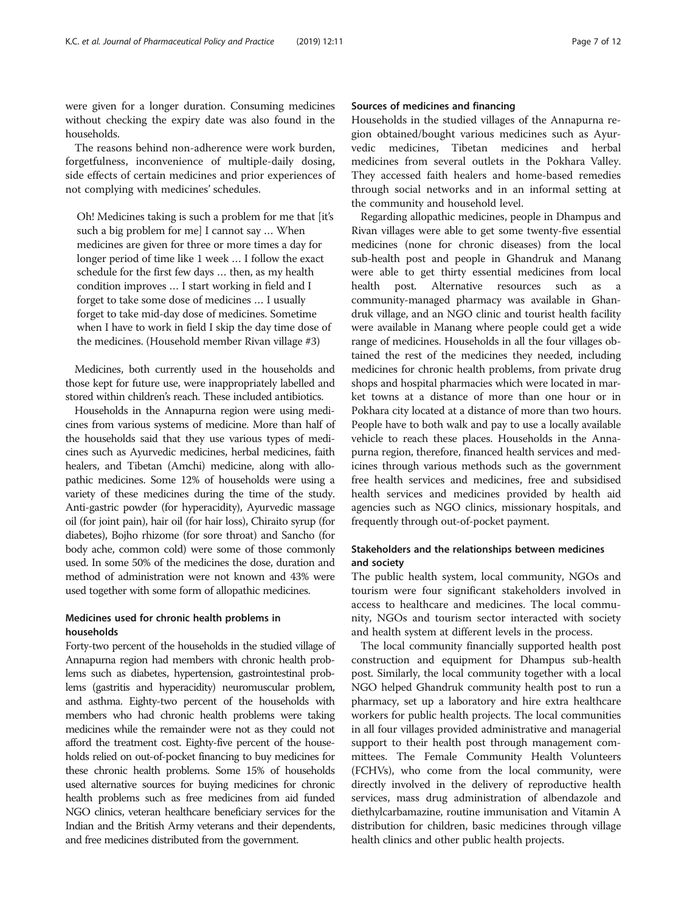were given for a longer duration. Consuming medicines without checking the expiry date was also found in the households.

The reasons behind non-adherence were work burden, forgetfulness, inconvenience of multiple-daily dosing, side effects of certain medicines and prior experiences of not complying with medicines' schedules.

Oh! Medicines taking is such a problem for me that [it's such a big problem for me] I cannot say … When medicines are given for three or more times a day for longer period of time like 1 week … I follow the exact schedule for the first few days … then, as my health condition improves … I start working in field and I forget to take some dose of medicines … I usually forget to take mid-day dose of medicines. Sometime when I have to work in field I skip the day time dose of the medicines. (Household member Rivan village #3)

Medicines, both currently used in the households and those kept for future use, were inappropriately labelled and stored within children's reach. These included antibiotics.

Households in the Annapurna region were using medicines from various systems of medicine. More than half of the households said that they use various types of medicines such as Ayurvedic medicines, herbal medicines, faith healers, and Tibetan (Amchi) medicine, along with allopathic medicines. Some 12% of households were using a variety of these medicines during the time of the study. Anti-gastric powder (for hyperacidity), Ayurvedic massage oil (for joint pain), hair oil (for hair loss), Chiraito syrup (for diabetes), Bojho rhizome (for sore throat) and Sancho (for body ache, common cold) were some of those commonly used. In some 50% of the medicines the dose, duration and method of administration were not known and 43% were used together with some form of allopathic medicines.

# Medicines used for chronic health problems in households

Forty-two percent of the households in the studied village of Annapurna region had members with chronic health problems such as diabetes, hypertension, gastrointestinal problems (gastritis and hyperacidity) neuromuscular problem, and asthma. Eighty-two percent of the households with members who had chronic health problems were taking medicines while the remainder were not as they could not afford the treatment cost. Eighty-five percent of the households relied on out-of-pocket financing to buy medicines for these chronic health problems. Some 15% of households used alternative sources for buying medicines for chronic health problems such as free medicines from aid funded NGO clinics, veteran healthcare beneficiary services for the Indian and the British Army veterans and their dependents, and free medicines distributed from the government.

# Sources of medicines and financing

Households in the studied villages of the Annapurna region obtained/bought various medicines such as Ayurvedic medicines, Tibetan medicines and herbal medicines from several outlets in the Pokhara Valley. They accessed faith healers and home-based remedies through social networks and in an informal setting at the community and household level.

Regarding allopathic medicines, people in Dhampus and Rivan villages were able to get some twenty-five essential medicines (none for chronic diseases) from the local sub-health post and people in Ghandruk and Manang were able to get thirty essential medicines from local health post. Alternative resources such as a community-managed pharmacy was available in Ghandruk village, and an NGO clinic and tourist health facility were available in Manang where people could get a wide range of medicines. Households in all the four villages obtained the rest of the medicines they needed, including medicines for chronic health problems, from private drug shops and hospital pharmacies which were located in market towns at a distance of more than one hour or in Pokhara city located at a distance of more than two hours. People have to both walk and pay to use a locally available vehicle to reach these places. Households in the Annapurna region, therefore, financed health services and medicines through various methods such as the government free health services and medicines, free and subsidised health services and medicines provided by health aid agencies such as NGO clinics, missionary hospitals, and frequently through out-of-pocket payment.

# Stakeholders and the relationships between medicines and society

The public health system, local community, NGOs and tourism were four significant stakeholders involved in access to healthcare and medicines. The local community, NGOs and tourism sector interacted with society and health system at different levels in the process.

The local community financially supported health post construction and equipment for Dhampus sub-health post. Similarly, the local community together with a local NGO helped Ghandruk community health post to run a pharmacy, set up a laboratory and hire extra healthcare workers for public health projects. The local communities in all four villages provided administrative and managerial support to their health post through management committees. The Female Community Health Volunteers (FCHVs), who come from the local community, were directly involved in the delivery of reproductive health services, mass drug administration of albendazole and diethylcarbamazine, routine immunisation and Vitamin A distribution for children, basic medicines through village health clinics and other public health projects.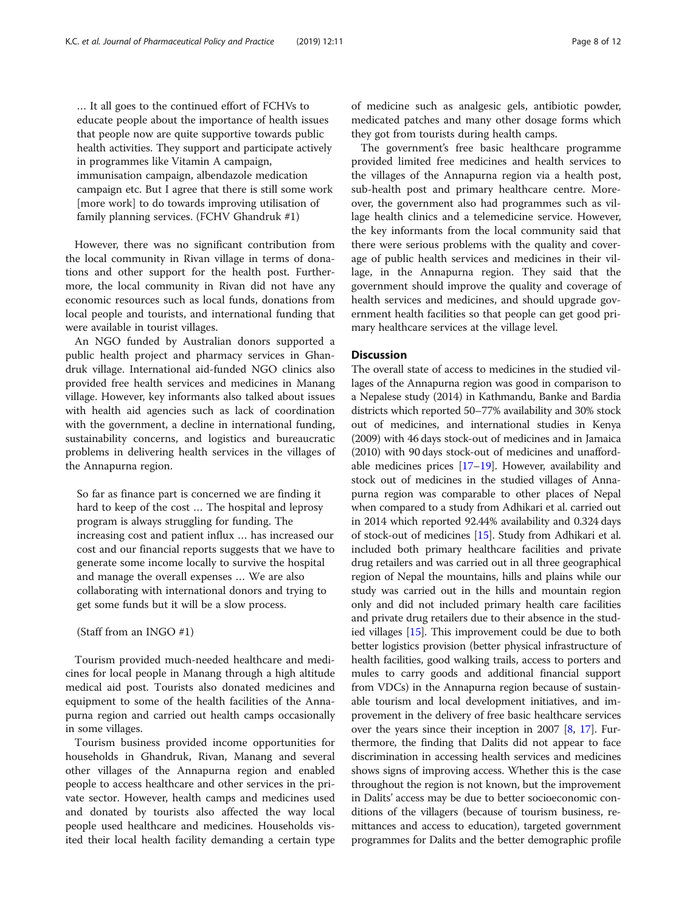… It all goes to the continued effort of FCHVs to educate people about the importance of health issues that people now are quite supportive towards public health activities. They support and participate actively in programmes like Vitamin A campaign, immunisation campaign, albendazole medication campaign etc. But I agree that there is still some work [more work] to do towards improving utilisation of family planning services. (FCHV Ghandruk #1)

However, there was no significant contribution from the local community in Rivan village in terms of donations and other support for the health post. Furthermore, the local community in Rivan did not have any economic resources such as local funds, donations from local people and tourists, and international funding that were available in tourist villages.

An NGO funded by Australian donors supported a public health project and pharmacy services in Ghandruk village. International aid-funded NGO clinics also provided free health services and medicines in Manang village. However, key informants also talked about issues with health aid agencies such as lack of coordination with the government, a decline in international funding, sustainability concerns, and logistics and bureaucratic problems in delivering health services in the villages of the Annapurna region.

So far as finance part is concerned we are finding it hard to keep of the cost … The hospital and leprosy program is always struggling for funding. The increasing cost and patient influx … has increased our cost and our financial reports suggests that we have to generate some income locally to survive the hospital and manage the overall expenses … We are also collaborating with international donors and trying to get some funds but it will be a slow process.

(Staff from an INGO #1)

Tourism provided much-needed healthcare and medicines for local people in Manang through a high altitude medical aid post. Tourists also donated medicines and equipment to some of the health facilities of the Annapurna region and carried out health camps occasionally in some villages.

Tourism business provided income opportunities for households in Ghandruk, Rivan, Manang and several other villages of the Annapurna region and enabled people to access healthcare and other services in the private sector. However, health camps and medicines used and donated by tourists also affected the way local people used healthcare and medicines. Households visited their local health facility demanding a certain type of medicine such as analgesic gels, antibiotic powder, medicated patches and many other dosage forms which they got from tourists during health camps.

The government's free basic healthcare programme provided limited free medicines and health services to the villages of the Annapurna region via a health post, sub-health post and primary healthcare centre. Moreover, the government also had programmes such as village health clinics and a telemedicine service. However, the key informants from the local community said that there were serious problems with the quality and coverage of public health services and medicines in their village, in the Annapurna region. They said that the government should improve the quality and coverage of health services and medicines, and should upgrade government health facilities so that people can get good primary healthcare services at the village level.

### **Discussion**

The overall state of access to medicines in the studied villages of the Annapurna region was good in comparison to a Nepalese study (2014) in Kathmandu, Banke and Bardia districts which reported 50–77% availability and 30% stock out of medicines, and international studies in Kenya (2009) with 46 days stock-out of medicines and in Jamaica (2010) with 90 days stock-out of medicines and unaffordable medicines prices [[17](#page-10-0)–[19\]](#page-10-0). However, availability and stock out of medicines in the studied villages of Annapurna region was comparable to other places of Nepal when compared to a study from Adhikari et al. carried out in 2014 which reported 92.44% availability and 0.324 days of stock-out of medicines [\[15\]](#page-10-0). Study from Adhikari et al. included both primary healthcare facilities and private drug retailers and was carried out in all three geographical region of Nepal the mountains, hills and plains while our study was carried out in the hills and mountain region only and did not included primary health care facilities and private drug retailers due to their absence in the studied villages [\[15\]](#page-10-0). This improvement could be due to both better logistics provision (better physical infrastructure of health facilities, good walking trails, access to porters and mules to carry goods and additional financial support from VDCs) in the Annapurna region because of sustainable tourism and local development initiatives, and improvement in the delivery of free basic healthcare services over the years since their inception in 2007 [\[8,](#page-10-0) [17](#page-10-0)]. Furthermore, the finding that Dalits did not appear to face discrimination in accessing health services and medicines shows signs of improving access. Whether this is the case throughout the region is not known, but the improvement in Dalits' access may be due to better socioeconomic conditions of the villagers (because of tourism business, remittances and access to education), targeted government programmes for Dalits and the better demographic profile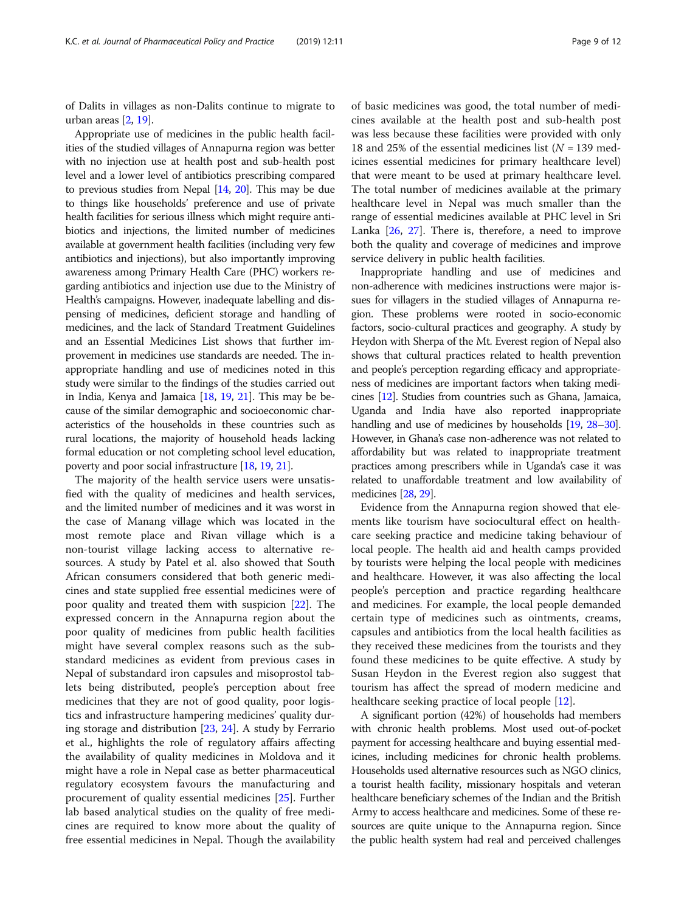of Dalits in villages as non-Dalits continue to migrate to urban areas [[2,](#page-10-0) [19](#page-10-0)].

Appropriate use of medicines in the public health facilities of the studied villages of Annapurna region was better with no injection use at health post and sub-health post level and a lower level of antibiotics prescribing compared to previous studies from Nepal [[14](#page-10-0), [20](#page-10-0)]. This may be due to things like households' preference and use of private health facilities for serious illness which might require antibiotics and injections, the limited number of medicines available at government health facilities (including very few antibiotics and injections), but also importantly improving awareness among Primary Health Care (PHC) workers regarding antibiotics and injection use due to the Ministry of Health's campaigns. However, inadequate labelling and dispensing of medicines, deficient storage and handling of medicines, and the lack of Standard Treatment Guidelines and an Essential Medicines List shows that further improvement in medicines use standards are needed. The inappropriate handling and use of medicines noted in this study were similar to the findings of the studies carried out in India, Kenya and Jamaica [\[18,](#page-10-0) [19,](#page-10-0) [21\]](#page-10-0). This may be because of the similar demographic and socioeconomic characteristics of the households in these countries such as rural locations, the majority of household heads lacking formal education or not completing school level education, poverty and poor social infrastructure [\[18,](#page-10-0) [19,](#page-10-0) [21](#page-10-0)].

The majority of the health service users were unsatisfied with the quality of medicines and health services, and the limited number of medicines and it was worst in the case of Manang village which was located in the most remote place and Rivan village which is a non-tourist village lacking access to alternative resources. A study by Patel et al. also showed that South African consumers considered that both generic medicines and state supplied free essential medicines were of poor quality and treated them with suspicion [\[22](#page-10-0)]. The expressed concern in the Annapurna region about the poor quality of medicines from public health facilities might have several complex reasons such as the substandard medicines as evident from previous cases in Nepal of substandard iron capsules and misoprostol tablets being distributed, people's perception about free medicines that they are not of good quality, poor logistics and infrastructure hampering medicines' quality during storage and distribution [[23,](#page-10-0) [24\]](#page-10-0). A study by Ferrario et al., highlights the role of regulatory affairs affecting the availability of quality medicines in Moldova and it might have a role in Nepal case as better pharmaceutical regulatory ecosystem favours the manufacturing and procurement of quality essential medicines [\[25](#page-10-0)]. Further lab based analytical studies on the quality of free medicines are required to know more about the quality of free essential medicines in Nepal. Though the availability

of basic medicines was good, the total number of medicines available at the health post and sub-health post was less because these facilities were provided with only 18 and 25% of the essential medicines list  $(N = 139 \text{ med} - 12)$ icines essential medicines for primary healthcare level) that were meant to be used at primary healthcare level. The total number of medicines available at the primary healthcare level in Nepal was much smaller than the range of essential medicines available at PHC level in Sri Lanka [\[26](#page-10-0), [27\]](#page-10-0). There is, therefore, a need to improve both the quality and coverage of medicines and improve service delivery in public health facilities.

Inappropriate handling and use of medicines and non-adherence with medicines instructions were major issues for villagers in the studied villages of Annapurna region. These problems were rooted in socio-economic factors, socio-cultural practices and geography. A study by Heydon with Sherpa of the Mt. Everest region of Nepal also shows that cultural practices related to health prevention and people's perception regarding efficacy and appropriateness of medicines are important factors when taking medicines [[12](#page-10-0)]. Studies from countries such as Ghana, Jamaica, Uganda and India have also reported inappropriate handling and use of medicines by households [\[19](#page-10-0), [28](#page-10-0)–[30](#page-10-0)]. However, in Ghana's case non-adherence was not related to affordability but was related to inappropriate treatment practices among prescribers while in Uganda's case it was related to unaffordable treatment and low availability of medicines [[28,](#page-10-0) [29](#page-10-0)].

Evidence from the Annapurna region showed that elements like tourism have sociocultural effect on healthcare seeking practice and medicine taking behaviour of local people. The health aid and health camps provided by tourists were helping the local people with medicines and healthcare. However, it was also affecting the local people's perception and practice regarding healthcare and medicines. For example, the local people demanded certain type of medicines such as ointments, creams, capsules and antibiotics from the local health facilities as they received these medicines from the tourists and they found these medicines to be quite effective. A study by Susan Heydon in the Everest region also suggest that tourism has affect the spread of modern medicine and healthcare seeking practice of local people [[12\]](#page-10-0).

A significant portion (42%) of households had members with chronic health problems. Most used out-of-pocket payment for accessing healthcare and buying essential medicines, including medicines for chronic health problems. Households used alternative resources such as NGO clinics, a tourist health facility, missionary hospitals and veteran healthcare beneficiary schemes of the Indian and the British Army to access healthcare and medicines. Some of these resources are quite unique to the Annapurna region. Since the public health system had real and perceived challenges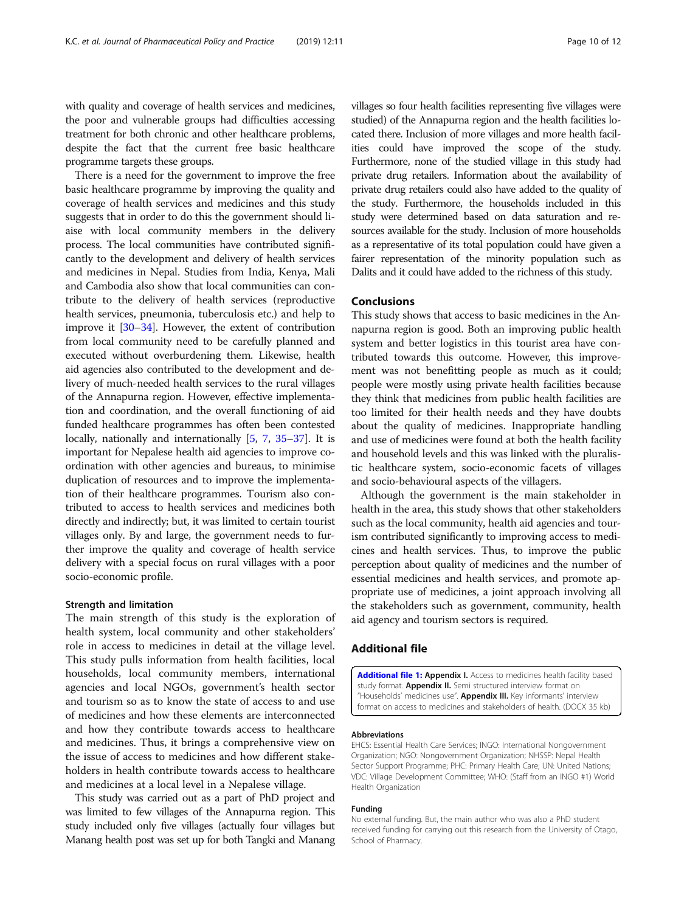<span id="page-9-0"></span>with quality and coverage of health services and medicines, the poor and vulnerable groups had difficulties accessing treatment for both chronic and other healthcare problems, despite the fact that the current free basic healthcare programme targets these groups.

There is a need for the government to improve the free basic healthcare programme by improving the quality and coverage of health services and medicines and this study suggests that in order to do this the government should liaise with local community members in the delivery process. The local communities have contributed significantly to the development and delivery of health services and medicines in Nepal. Studies from India, Kenya, Mali and Cambodia also show that local communities can contribute to the delivery of health services (reproductive health services, pneumonia, tuberculosis etc.) and help to improve it [[30](#page-10-0)–[34\]](#page-10-0). However, the extent of contribution from local community need to be carefully planned and executed without overburdening them. Likewise, health aid agencies also contributed to the development and delivery of much-needed health services to the rural villages of the Annapurna region. However, effective implementation and coordination, and the overall functioning of aid funded healthcare programmes has often been contested locally, nationally and internationally [\[5](#page-10-0), [7,](#page-10-0) [35](#page-10-0)–[37](#page-11-0)]. It is important for Nepalese health aid agencies to improve coordination with other agencies and bureaus, to minimise duplication of resources and to improve the implementation of their healthcare programmes. Tourism also contributed to access to health services and medicines both directly and indirectly; but, it was limited to certain tourist villages only. By and large, the government needs to further improve the quality and coverage of health service delivery with a special focus on rural villages with a poor socio-economic profile.

#### Strength and limitation

The main strength of this study is the exploration of health system, local community and other stakeholders' role in access to medicines in detail at the village level. This study pulls information from health facilities, local households, local community members, international agencies and local NGOs, government's health sector and tourism so as to know the state of access to and use of medicines and how these elements are interconnected and how they contribute towards access to healthcare and medicines. Thus, it brings a comprehensive view on the issue of access to medicines and how different stakeholders in health contribute towards access to healthcare and medicines at a local level in a Nepalese village.

This study was carried out as a part of PhD project and was limited to few villages of the Annapurna region. This study included only five villages (actually four villages but Manang health post was set up for both Tangki and Manang villages so four health facilities representing five villages were studied) of the Annapurna region and the health facilities located there. Inclusion of more villages and more health facilities could have improved the scope of the study. Furthermore, none of the studied village in this study had private drug retailers. Information about the availability of private drug retailers could also have added to the quality of the study. Furthermore, the households included in this study were determined based on data saturation and resources available for the study. Inclusion of more households as a representative of its total population could have given a fairer representation of the minority population such as Dalits and it could have added to the richness of this study.

# Conclusions

This study shows that access to basic medicines in the Annapurna region is good. Both an improving public health system and better logistics in this tourist area have contributed towards this outcome. However, this improvement was not benefitting people as much as it could; people were mostly using private health facilities because they think that medicines from public health facilities are too limited for their health needs and they have doubts about the quality of medicines. Inappropriate handling and use of medicines were found at both the health facility and household levels and this was linked with the pluralistic healthcare system, socio-economic facets of villages and socio-behavioural aspects of the villagers.

Although the government is the main stakeholder in health in the area, this study shows that other stakeholders such as the local community, health aid agencies and tourism contributed significantly to improving access to medicines and health services. Thus, to improve the public perception about quality of medicines and the number of essential medicines and health services, and promote appropriate use of medicines, a joint approach involving all the stakeholders such as government, community, health aid agency and tourism sectors is required.

# Additional file

[Additional file 1:](https://doi.org/10.1186/s40545-019-0172-3) Appendix I. Access to medicines health facility based study format. Appendix II. Semi structured interview format on "Households' medicines use". Appendix III. Key informants' interview format on access to medicines and stakeholders of health. (DOCX 35 kb)

#### Abbreviations

EHCS: Essential Health Care Services; INGO: International Nongovernment Organization; NGO: Nongovernment Organization; NHSSP: Nepal Health Sector Support Programme; PHC: Primary Health Care; UN: United Nations; VDC: Village Development Committee; WHO: (Staff from an INGO #1) World Health Organization

#### Funding

No external funding. But, the main author who was also a PhD student received funding for carrying out this research from the University of Otago, School of Pharmacy.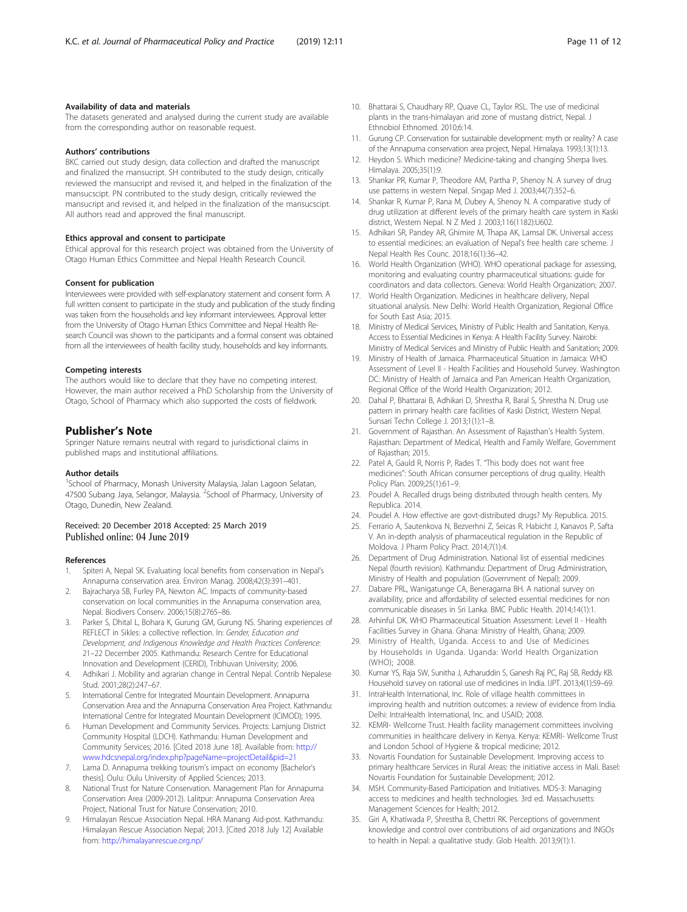#### <span id="page-10-0"></span>Availability of data and materials

The datasets generated and analysed during the current study are available from the corresponding author on reasonable request.

#### Authors' contributions

BKC carried out study design, data collection and drafted the manuscript and finalized the mansucript. SH contributed to the study design, critically reviewed the mansucript and revised it, and helped in the finalization of the mansucscipt. PN contributed to the study design, critically reviewed the mansucript and revised it, and helped in the finalization of the mansucscipt. All authors read and approved the final manuscript.

#### Ethics approval and consent to participate

Ethical approval for this research project was obtained from the University of Otago Human Ethics Committee and Nepal Health Research Council.

#### Consent for publication

Interviewees were provided with self-explanatory statement and consent form. A full written consent to participate in the study and publication of the study finding was taken from the households and key informant interviewees. Approval letter from the University of Otago Human Ethics Committee and Nepal Health Research Council was shown to the participants and a formal consent was obtained from all the interviewees of health facility study, households and key informants.

#### Competing interests

The authors would like to declare that they have no competing interest. However, the main author received a PhD Scholarship from the University of Otago, School of Pharmacy which also supported the costs of fieldwork.

#### Publisher's Note

Springer Nature remains neutral with regard to jurisdictional claims in published maps and institutional affiliations.

#### Author details

<sup>1</sup>School of Pharmacy, Monash University Malaysia, Jalan Lagoon Selatan, 47500 Subang Jaya, Selangor, Malaysia. <sup>2</sup>School of Pharmacy, University of Otago, Dunedin, New Zealand.

# Received: 20 December 2018 Accepted: 25 March 2019

#### References

- 1. Spiteri A, Nepal SK. Evaluating local benefits from conservation in Nepal's Annapurna conservation area. Environ Manag. 2008;42(3):391–401.
- 2. Bajracharya SB, Furley PA, Newton AC. Impacts of community-based conservation on local communities in the Annapurna conservation area, Nepal. Biodivers Conserv. 2006;15(8):2765–86.
- 3. Parker S, Dhital L, Bohara K, Gurung GM, Gurung NS. Sharing experiences of REFLECT in Sikles: a collective reflection. In: Gender, Education and Development, and Indigenous Knowledge and Health Practices Conference: 21–22 December 2005. Kathmandu: Research Centre for Educational Innovation and Development (CERID), Tribhuvan University; 2006.
- 4. Adhikari J. Mobility and agrarian change in Central Nepal. Contrib Nepalese Stud. 2001;28(2):247–67.
- 5. International Centre for Integrated Mountain Development. Annapurna Conservation Area and the Annapurna Conservation Area Project. Kathmandu: International Centre for Integrated Mountain Development (ICIMOD); 1995.
- 6. Human Development and Community Services. Projects: Lamjung District Community Hospital (LDCH). Kathmandu: Human Development and Community Services; 2016. [Cited 2018 June 18]. Available from: [http://](http://www.hdcsnepal.org/index.php?pageName=projectDetail&pid=21) [www.hdcsnepal.org/index.php?pageName=projectDetail&pid=21](http://www.hdcsnepal.org/index.php?pageName=projectDetail&pid=21)
- 7. Lama D. Annapurna trekking tourism's impact on economy [Bachelor's thesis]. Oulu: Oulu University of Applied Sciences; 2013.
- National Trust for Nature Conservation. Management Plan for Annapurna Conservation Area (2009-2012). Lalitpur: Annapurna Conservation Area Project, National Trust for Nature Conservation; 2010.
- 9. Himalayan Rescue Association Nepal. HRA Manang Aid-post. Kathmandu: Himalayan Rescue Association Nepal; 2013. [Cited 2018 July 12] Available from: <http://himalayanrescue.org.np/>
- 10. Bhattarai S, Chaudhary RP, Quave CL, Taylor RSL. The use of medicinal plants in the trans-himalayan arid zone of mustang district, Nepal. J Ethnobiol Ethnomed. 2010;6:14.
- 11. Gurung CP. Conservation for sustainable development: myth or reality? A case of the Annapurna conservation area project, Nepal. Himalaya. 1993;13(1):13.
- 12. Heydon S. Which medicine? Medicine-taking and changing Sherpa lives. Himalaya. 2005;35(1):9.
- 13. Shankar PR, Kumar P, Theodore AM, Partha P, Shenoy N. A survey of drug use patterns in western Nepal. Singap Med J. 2003;44(7):352–6.
- 14. Shankar R, Kumar P, Rana M, Dubey A, Shenoy N. A comparative study of drug utilization at different levels of the primary health care system in Kaski district, Western Nepal. N Z Med J. 2003;116(1182):U602.
- 15. Adhikari SR, Pandey AR, Ghimire M, Thapa AK, Lamsal DK. Universal access to essential medicines: an evaluation of Nepal's free health care scheme. J Nepal Health Res Counc. 2018;16(1):36–42.
- 16. World Health Organization (WHO). WHO operational package for assessing, monitoring and evaluating country pharmaceutical situations: guide for coordinators and data collectors. Geneva: World Health Organization; 2007.
- 17. World Health Organization. Medicines in healthcare delivery, Nepal situational analysis. New Delhi: World Health Organization, Regional Office for South East Asia; 2015.
- 18. Ministry of Medical Services, Ministry of Public Health and Sanitation, Kenya. Access to Essential Medicines in Kenya: A Health Facility Survey. Nairobi: Ministry of Medical Services and Ministry of Public Health and Sanitation; 2009.
- 19. Ministry of Health of Jamaica. Pharmaceutical Situation in Jamaica: WHO Assessment of Level II - Health Facilities and Household Survey. Washington DC: Ministry of Health of Jamaica and Pan American Health Organization, Regional Office of the World Health Organization; 2012.
- 20. Dahal P, Bhattarai B, Adhikari D, Shrestha R, Baral S, Shrestha N. Drug use pattern in primary health care facilities of Kaski District, Western Nepal. Sunsari Techn College J. 2013;1(1):1–8.
- 21. Government of Rajasthan. An Assessment of Rajasthan's Health System. Rajasthan: Department of Medical, Health and Family Welfare, Government of Rajasthan; 2015.
- 22. Patel A, Gauld R, Norris P, Rades T. "This body does not want free medicines": South African consumer perceptions of drug quality. Health Policy Plan. 2009;25(1):61–9.
- 23. Poudel A. Recalled drugs being distributed through health centers. My Republica. 2014.
- 24. Poudel A. How effective are govt-distributed drugs? My Republica. 2015.
- 25. Ferrario A, Sautenkova N, Bezverhni Z, Seicas R, Habicht J, Kanavos P, Safta V. An in-depth analysis of pharmaceutical regulation in the Republic of Moldova. J Pharm Policy Pract. 2014;7(1):4.
- 26. Department of Drug Administration. National list of essential medicines Nepal (fourth revision). Kathmandu: Department of Drug Administration, Ministry of Health and population (Government of Nepal); 2009.
- 27. Dabare PRL, Wanigatunge CA, Beneragama BH. A national survey on availability, price and affordability of selected essential medicines for non communicable diseases in Sri Lanka. BMC Public Health. 2014;14(1):1.
- 28. Arhinful DK. WHO Pharmaceutical Situation Assessment: Level II Health Facilities Survey in Ghana. Ghana: Ministry of Health, Ghana; 2009.
- 29. Ministry of Health, Uganda. Access to and Use of Medicines by Households in Uganda. Uganda: World Health Organization (WHO); 2008.
- 30. Kumar YS, Raja SW, Sunitha J, Azharuddin S, Ganesh Raj PC, Raj SB, Reddy KB. Household survey on rational use of medicines in India. IJPT. 2013;4(1):59–69.
- 31. IntraHealth International, Inc. Role of village health committees in improving health and nutrition outcomes: a review of evidence from India. Delhi: IntraHealth International, Inc. and USAID; 2008.
- 32. KEMRI- Wellcome Trust. Health facility management committees involving communities in healthcare delivery in Kenya. Kenya: KEMRI- Wellcome Trust and London School of Hygiene & tropical medicine; 2012.
- 33. Novartis Foundation for Sustainable Development. Improving access to primary healthcare Services in Rural Areas: the initiative access in Mali. Basel: Novartis Foundation for Sustainable Development; 2012.
- 34. MSH. Community-Based Participation and Initiatives. MDS-3: Managing access to medicines and health technologies. 3rd ed. Massachusetts: Management Sciences for Health; 2012.
- 35. Giri A, Khatiwada P, Shrestha B, Chettri RK. Perceptions of government knowledge and control over contributions of aid organizations and INGOs to health in Nepal: a qualitative study. Glob Health. 2013;9(1):1.